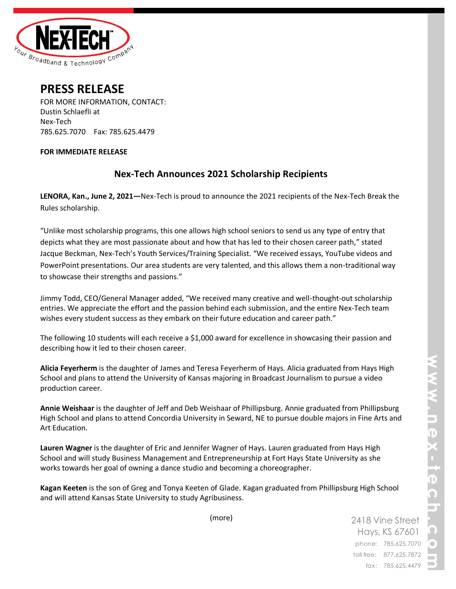

2418 Vine Street Hays, KS 67601 phone: 785.625.7070 toll free: 877.625.7872 fax: 785.625.4479



# **PRESS RELEASE**

FOR MORE INFORMATION, CONTACT: Dustin Schlaefli at Nex-Tech 785.625.7070 Fax: 785.625.4479

### **FOR IMMEDIATE RELEASE**

# **Nex-Tech Announces 2021 Scholarship Recipients**

**LENORA, Kan., June 2, 2021—**Nex-Tech is proud to announce the 2021 recipients of the Nex-Tech Break the Rules scholarship.

"Unlike most scholarship programs, this one allows high school seniors to send us any type of entry that depicts what they are most passionate about and how that has led to their chosen career path," stated Jacque Beckman, Nex-Tech's Youth Services/Training Specialist. "We received essays, YouTube videos and PowerPoint presentations. Our area students are very talented, and this allows them a non-traditional way to showcase their strengths and passions."

Jimmy Todd, CEO/General Manager added, "We received many creative and well-thought-out scholarship entries. We appreciate the effort and the passion behind each submission, and the entire Nex-Tech team wishes every student success as they embark on their future education and career path."

The following 10 students will each receive a \$1,000 award for excellence in showcasing their passion and describing how it led to their chosen career.

**Alicia Feyerherm** is the daughter of James and Teresa Feyerherm of Hays. Alicia graduated from Hays High School and plans to attend the University of Kansas majoring in Broadcast Journalism to pursue a video production career.

**Annie Weishaar** is the daughter of Jeff and Deb Weishaar of Phillipsburg. Annie graduated from Phillipsburg High School and plans to attend Concordia University in Seward, NE to pursue double majors in Fine Arts and Art Education.

**Lauren Wagner** is the daughter of Eric and Jennifer Wagner of Hays. Lauren graduated from Hays High School and will study Business Management and Entrepreneurship at Fort Hays State University as she works towards her goal of owning a dance studio and becoming a choreographer.

**Kagan Keeten** is the son of Greg and Tonya Keeten of Glade. Kagan graduated from Phillipsburg High School and will attend Kansas State University to study Agribusiness.

(more)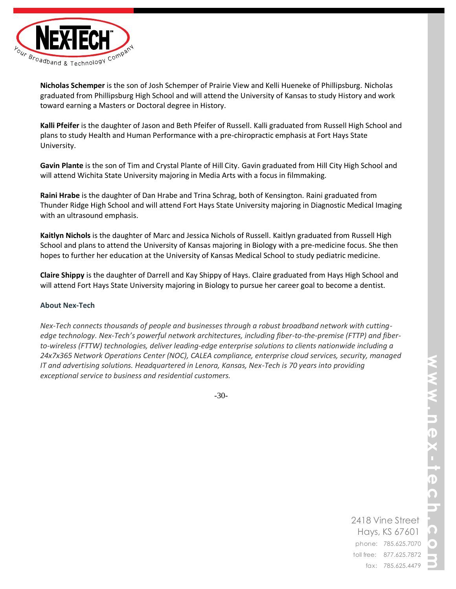

**Nicholas Schemper** is the son of Josh Schemper of Prairie View and Kelli Hueneke of Phillipsburg. Nicholas graduated from Phillipsburg High School and will attend the University of Kansas to study History and work toward earning a Masters or Doctoral degree in History.

**Kalli Pfeifer** is the daughter of Jason and Beth Pfeifer of Russell. Kalli graduated from Russell High School and plans to study Health and Human Performance with a pre-chiropractic emphasis at Fort Hays State University.

**Gavin Plante** is the son of Tim and Crystal Plante of Hill City. Gavin graduated from Hill City High School and will attend Wichita State University majoring in Media Arts with a focus in filmmaking.

**Raini Hrabe** is the daughter of Dan Hrabe and Trina Schrag, both of Kensington. Raini graduated from Thunder Ridge High School and will attend Fort Hays State University majoring in Diagnostic Medical Imaging with an ultrasound emphasis.

**Kaitlyn Nichols** is the daughter of Marc and Jessica Nichols of Russell. Kaitlyn graduated from Russell High School and plans to attend the University of Kansas majoring in Biology with a pre-medicine focus. She then hopes to further her education at the University of Kansas Medical School to study pediatric medicine.

**Claire Shippy** is the daughter of Darrell and Kay Shippy of Hays. Claire graduated from Hays High School and will attend Fort Hays State University majoring in Biology to pursue her career goal to become a dentist.

## **About Nex-Tech**

*Nex-Tech connects thousands of people and businesses through a robust broadband network with cuttingedge technology. Nex-Tech's powerful network architectures, including fiber-to-the-premise (FTTP) and fiberto-wireless (FTTW) technologies, deliver leading-edge enterprise solutions to clients nationwide including a 24x7x365 Network Operations Center (NOC), CALEA compliance, enterprise cloud services, security, managed IT and advertising solutions. Headquartered in Lenora, Kansas, Nex-Tech is 70 years into providing exceptional service to business and residential customers.*

-30-

2418 Vine Street Hays, KS 67601 phone: 785.625.7070 toll free: 877.625.7872 fax: 785.625.4479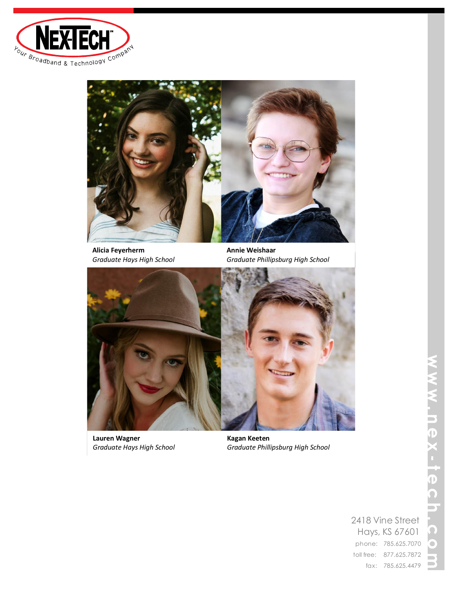



**Alicia Feyerherm** *Graduate Hays High School*

**Annie Weishaar** *Graduate Phillipsburg High School*



**Lauren Wagner** *Graduate Hays High School*

**Kagan Keeten** *Graduate Phillipsburg High School*

# $\mathcal{L}_{\mathcal{A}}$  $\overline{\mathbf{D}}$ —<br>ი<br>ი o.

2418 Vine Street Hays, KS 67601 phone: 785.625.7070 toll free: 877.625.7872 fax: 785.625.4479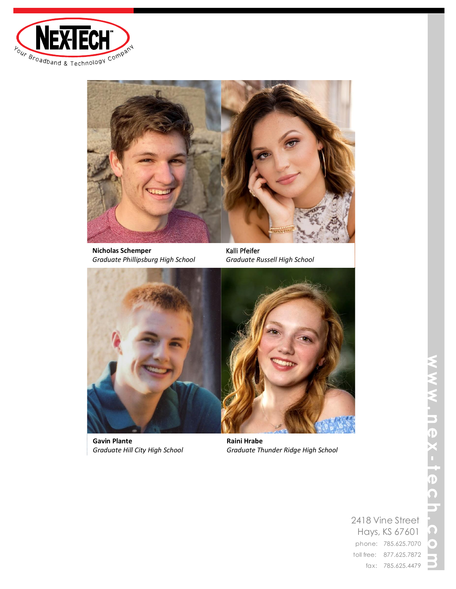



**Nicholas Schemper** *Graduate Phillipsburg High School*

Kalli Pfeifer *Graduate Russell High School*



**Gavin Plante** *Graduate Hill City High School*

**Raini Hrabe** *Graduate Thunder Ridge High School*

2418 Vine Street Hays, KS 67601 phone: 785.625.7070 toll free: 877.625.7872 fax: 785.625.4479